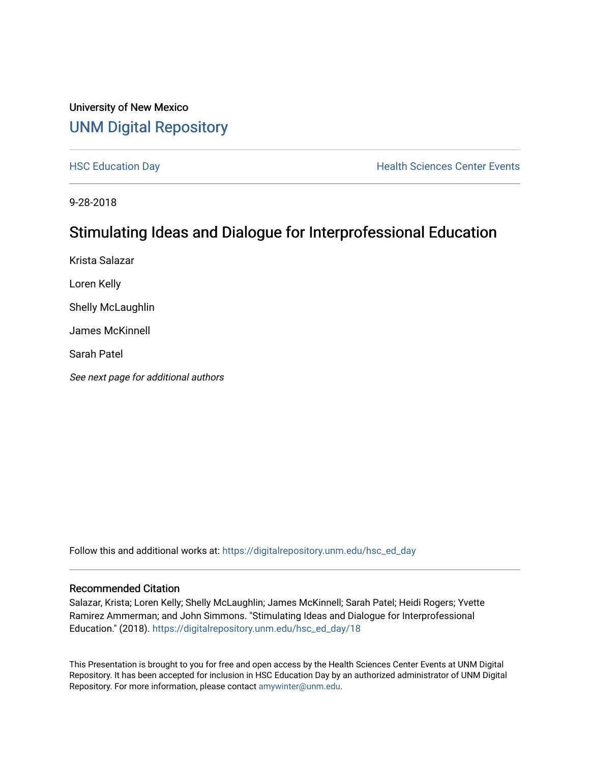#### University of New Mexico [UNM Digital Repository](https://digitalrepository.unm.edu/)

[HSC Education Day](https://digitalrepository.unm.edu/hsc_ed_day) **Health Sciences Center Events** 

9-28-2018

#### Stimulating Ideas and Dialogue for Interprofessional Education

Krista Salazar Loren Kelly Shelly McLaughlin James McKinnell Sarah Patel See next page for additional authors

Follow this and additional works at: [https://digitalrepository.unm.edu/hsc\\_ed\\_day](https://digitalrepository.unm.edu/hsc_ed_day?utm_source=digitalrepository.unm.edu%2Fhsc_ed_day%2F18&utm_medium=PDF&utm_campaign=PDFCoverPages) 

#### Recommended Citation

Salazar, Krista; Loren Kelly; Shelly McLaughlin; James McKinnell; Sarah Patel; Heidi Rogers; Yvette Ramirez Ammerman; and John Simmons. "Stimulating Ideas and Dialogue for Interprofessional Education." (2018). [https://digitalrepository.unm.edu/hsc\\_ed\\_day/18](https://digitalrepository.unm.edu/hsc_ed_day/18?utm_source=digitalrepository.unm.edu%2Fhsc_ed_day%2F18&utm_medium=PDF&utm_campaign=PDFCoverPages)

This Presentation is brought to you for free and open access by the Health Sciences Center Events at UNM Digital Repository. It has been accepted for inclusion in HSC Education Day by an authorized administrator of UNM Digital Repository. For more information, please contact [amywinter@unm.edu](mailto:amywinter@unm.edu).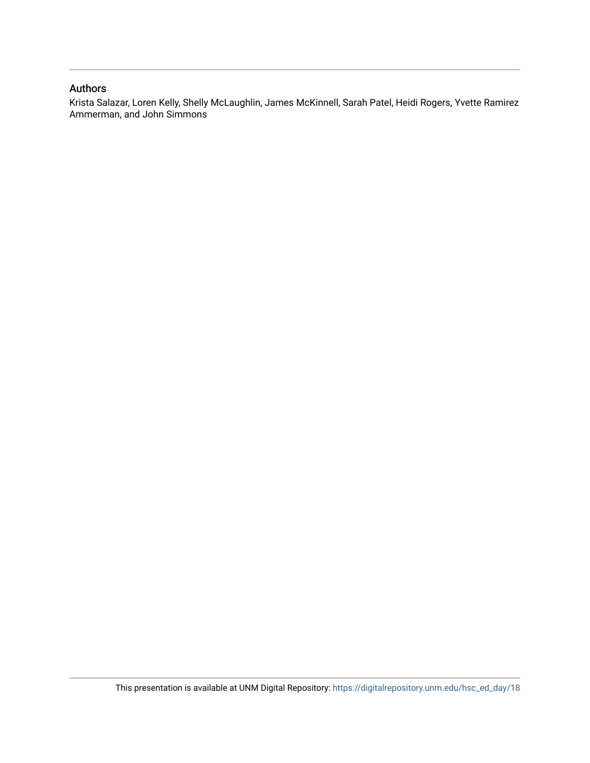#### Authors

Krista Salazar, Loren Kelly, Shelly McLaughlin, James McKinnell, Sarah Patel, Heidi Rogers, Yvette Ramirez Ammerman, and John Simmons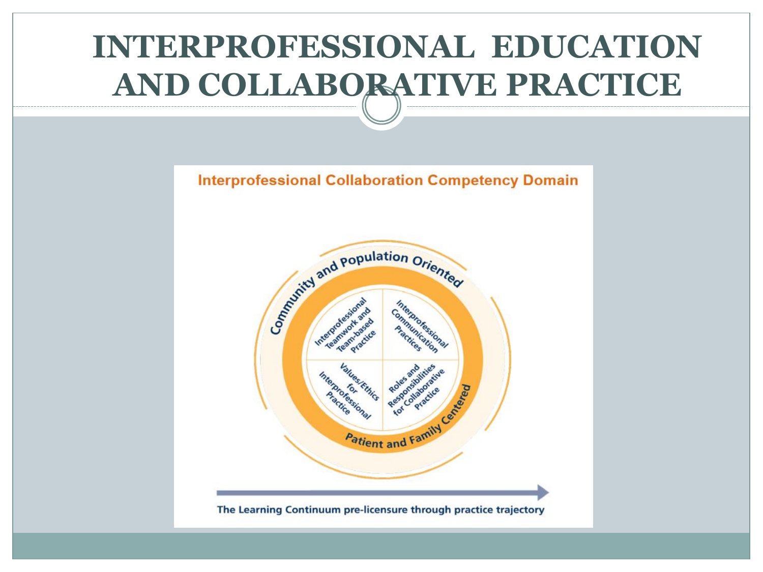#### **INTERPROFESSIONAL EDUCATION AND COLLABORATIVE PRACTICE**



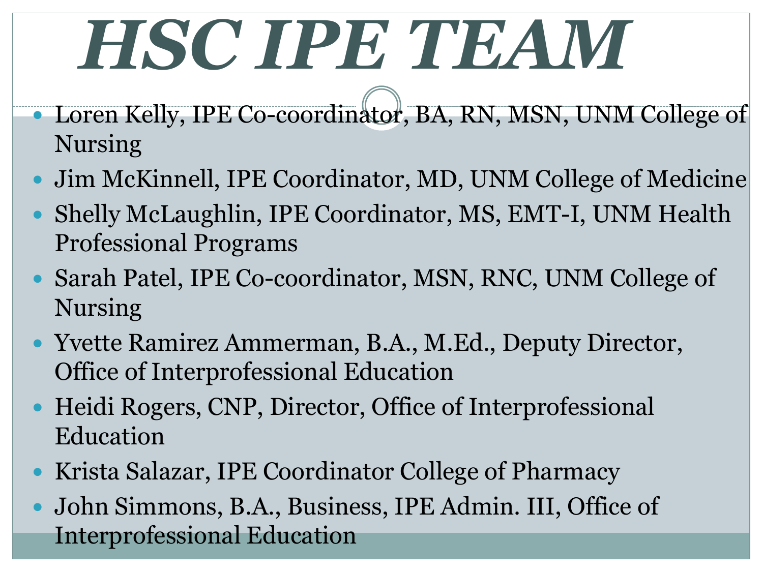## *HSC IPE TEAM*

- Loren Kelly, IPE Co-coordinator, BA, RN, MSN, UNM College of Nursing
- Jim McKinnell, IPE Coordinator, MD, UNM College of Medicine
- Shelly McLaughlin, IPE Coordinator, MS, EMT-I, UNM Health Professional Programs
- Sarah Patel, IPE Co-coordinator, MSN, RNC, UNM College of Nursing
- Yvette Ramirez Ammerman, B.A., M.Ed., Deputy Director, Office of Interprofessional Education
- Heidi Rogers, CNP, Director, Office of Interprofessional Education
- Krista Salazar, IPE Coordinator College of Pharmacy
- John Simmons, B.A., Business, IPE Admin. III, Office of Interprofessional Education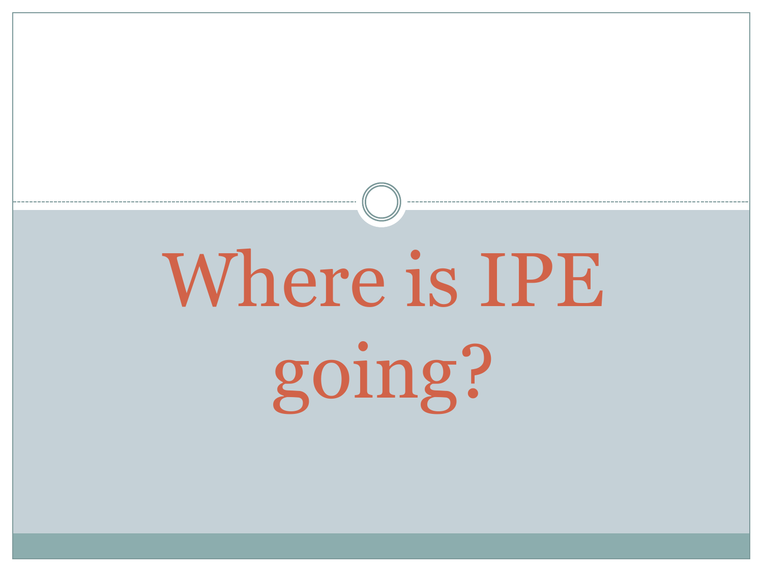# Where is IPE going?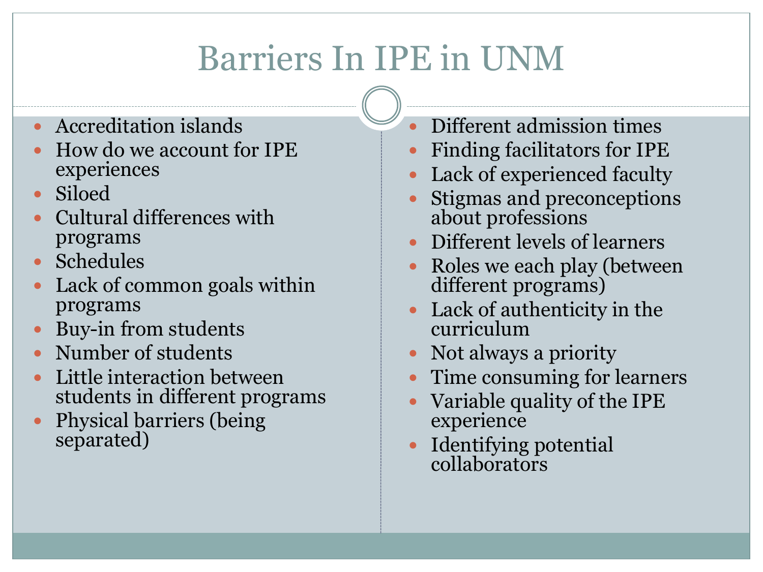### Barriers In IPE in UNM

- Accreditation islands
- How do we account for IPE experiences
- Siloed
- Cultural differences with programs
- Schedules
- Lack of common goals within programs
- Buy-in from students
- Number of students
- Little interaction between students in different programs
- Physical barriers (being separated)
- Different admission times
- Finding facilitators for IPE
- Lack of experienced faculty
- Stigmas and preconceptions about professions
- Different levels of learners
- Roles we each play (between different programs)
- Lack of authenticity in the curriculum
- Not always a priority
- Time consuming for learners
- Variable quality of the IPE experience
- Identifying potential collaborators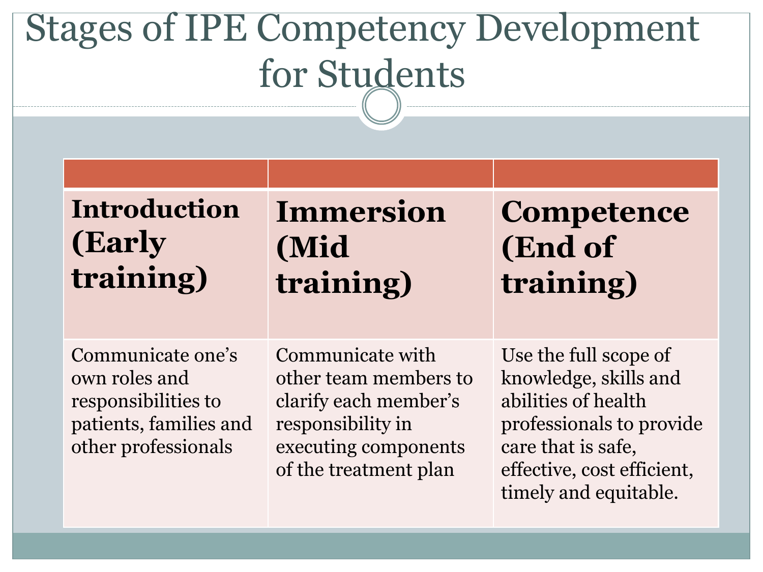### Stages of IPE Competency Development for Students

#### **Introduction (Early training)**

#### **Immersion (Mid training)**

#### **Competence (End of training)**

Communicate one's own roles and responsibilities to patients, families and other professionals

Communicate with other team members to clarify each member's responsibility in executing components of the treatment plan

Use the full scope of knowledge, skills and abilities of health professionals to provide care that is safe, effective, cost efficient, timely and equitable.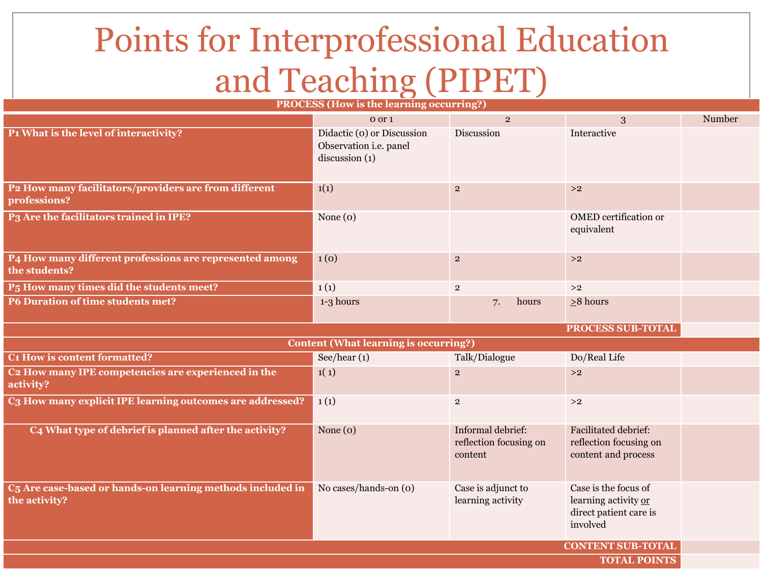#### Points for Interprofessional Education and Teaching (PIPET)

| <b>PROCESS (How is the learning occurring?)</b>                              |                                                                        |                                                        |                                                                                    |        |
|------------------------------------------------------------------------------|------------------------------------------------------------------------|--------------------------------------------------------|------------------------------------------------------------------------------------|--------|
|                                                                              | 0 or 1                                                                 | $\overline{2}$                                         | 3                                                                                  | Number |
| P1 What is the level of interactivity?                                       | Didactic (o) or Discussion<br>Observation i.e. panel<br>discussion (1) | Discussion                                             | Interactive                                                                        |        |
| P2 How many facilitators/providers are from different<br>professions?        | 1(1)                                                                   | $\overline{2}$                                         | >2                                                                                 |        |
| P3 Are the facilitators trained in IPE?                                      | None $(o)$                                                             |                                                        | <b>OMED</b> certification or<br>equivalent                                         |        |
| P4 How many different professions are represented among<br>the students?     | 1(0)                                                                   | $\overline{2}$                                         | >2                                                                                 |        |
| P <sub>5</sub> How many times did the students meet?                         | 1(1)                                                                   | $\overline{2}$                                         | >2                                                                                 |        |
| <b>P6 Duration of time students met?</b>                                     | 1-3 hours                                                              | 7.<br>hours                                            | $\geq$ 8 hours                                                                     |        |
| PROCESS SUB-TOTAL                                                            |                                                                        |                                                        |                                                                                    |        |
| <b>Content (What learning is occurring?)</b>                                 |                                                                        |                                                        |                                                                                    |        |
| C1 How is content formatted?                                                 | See/hear $(1)$                                                         | Talk/Dialogue                                          | Do/Real Life                                                                       |        |
| C <sub>2</sub> How many IPE competencies are experienced in the<br>activity? | 1(1)                                                                   | $\mathbf 2$                                            | >2                                                                                 |        |
| C3 How many explicit IPE learning outcomes are addressed?                    | 1(1)                                                                   | $\overline{2}$                                         | >2                                                                                 |        |
| C4 What type of debrief is planned after the activity?                       | None $(o)$                                                             | Informal debrief:<br>reflection focusing on<br>content | <b>Facilitated debrief:</b><br>reflection focusing on<br>content and process       |        |
| C5 Are case-based or hands-on learning methods included in<br>the activity?  | No cases/hands-on (o)                                                  | Case is adjunct to<br>learning activity                | Case is the focus of<br>learning activity or<br>direct patient care is<br>involved |        |
| <b>CONTENT SUB-TOTAL</b>                                                     |                                                                        |                                                        |                                                                                    |        |
| <b>TOTAL POINTS</b>                                                          |                                                                        |                                                        |                                                                                    |        |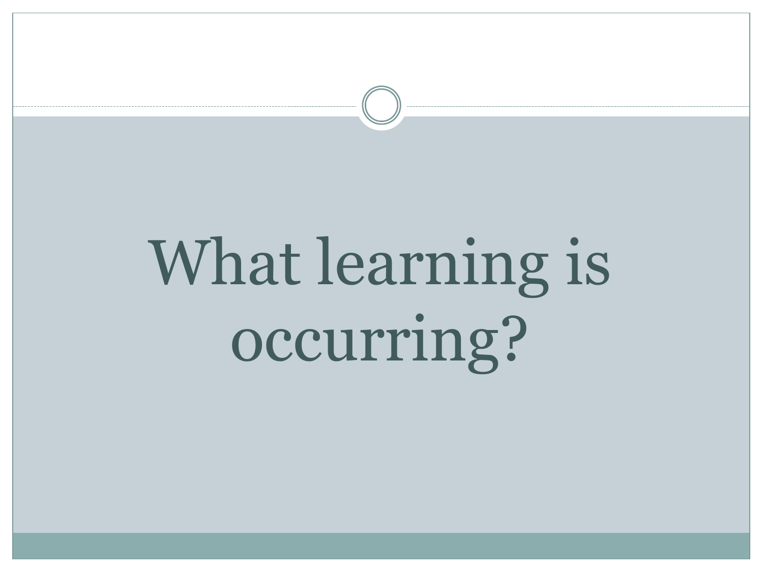## What learning is occurring?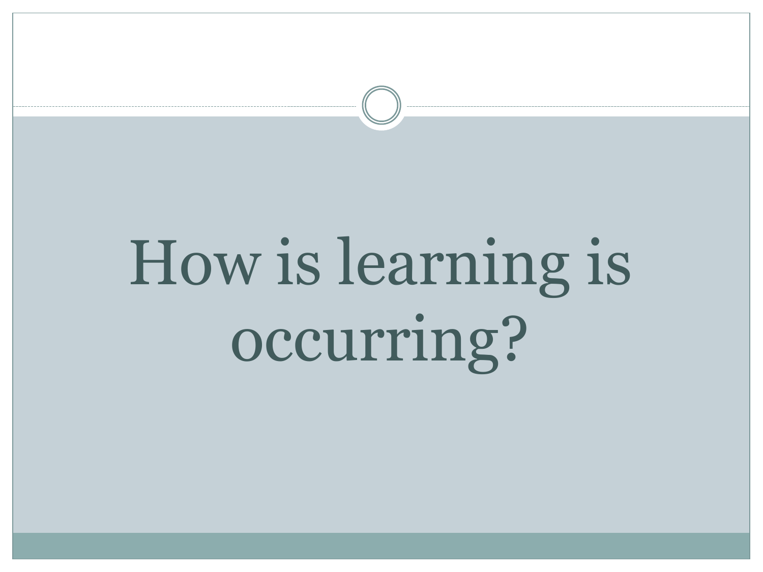## How is learning is occurring?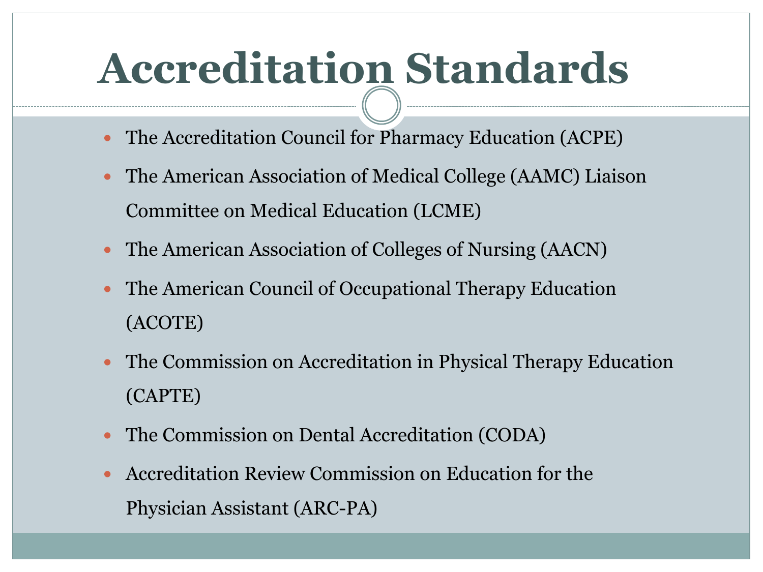## **Accreditation Standards**

- The Accreditation Council for Pharmacy Education (ACPE)
- The American Association of Medical College (AAMC) Liaison Committee on Medical Education (LCME)
- The American Association of Colleges of Nursing (AACN)
- The American Council of Occupational Therapy Education (ACOTE)
- The Commission on Accreditation in Physical Therapy Education (CAPTE)
- The Commission on Dental Accreditation (CODA)
- Accreditation Review Commission on Education for the Physician Assistant (ARC-PA)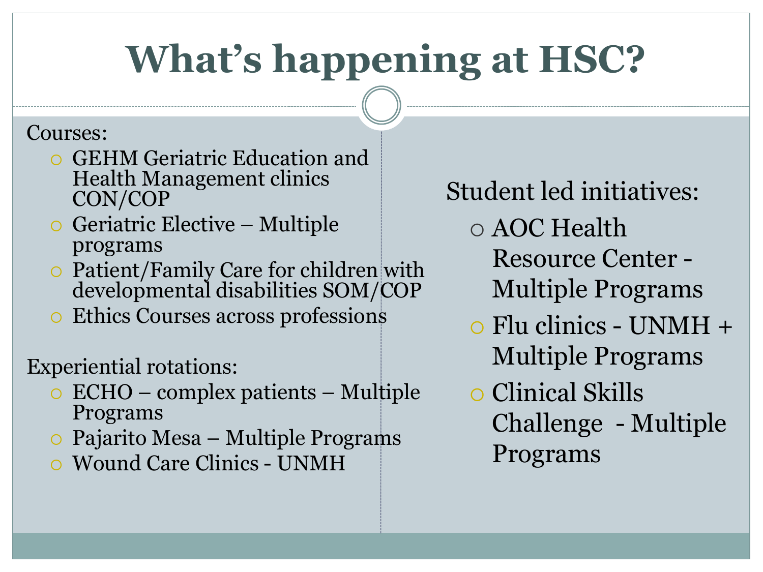### **What's happening at HSC?**

#### Courses:

- GEHM Geriatric Education and Health Management clinics CON/COP
- Geriatric Elective Multiple programs
- Patient/Family Care for children with developmental disabilities SOM/COP
- Ethics Courses across professions

Experiential rotations:

- ECHO complex patients Multiple Programs
- Pajarito Mesa Multiple Programs
- Wound Care Clinics UNMH

Student led initiatives:

- AOC Health
	- Resource Center Multiple Programs
- Flu clinics UNMH + Multiple Programs
- Clinical Skills Challenge - Multiple Programs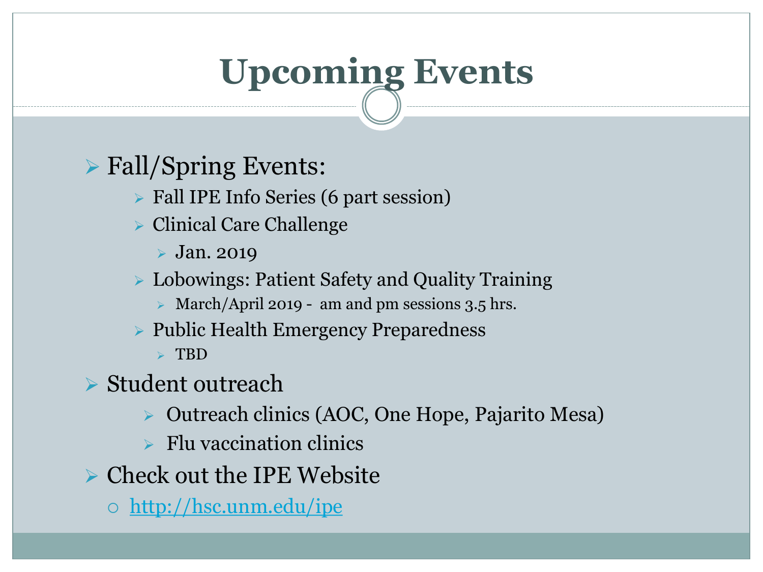## **Upcoming Events**

#### Fall/Spring Events:

- Fall IPE Info Series (6 part session)
- Clinical Care Challenge
	- $\triangleright$  Jan. 2019
- Lobowings: Patient Safety and Quality Training
	- $\triangleright$  March/April 2019 am and pm sessions 3.5 hrs.
- ▶ Public Health Emergency Preparedness
	- $\triangleright$  TBD
- Student outreach
	- Outreach clinics (AOC, One Hope, Pajarito Mesa)
	- $\triangleright$  Flu vaccination clinics
- $\triangleright$  Check out the IPE Website
	- o <http://hsc.unm.edu/ipe>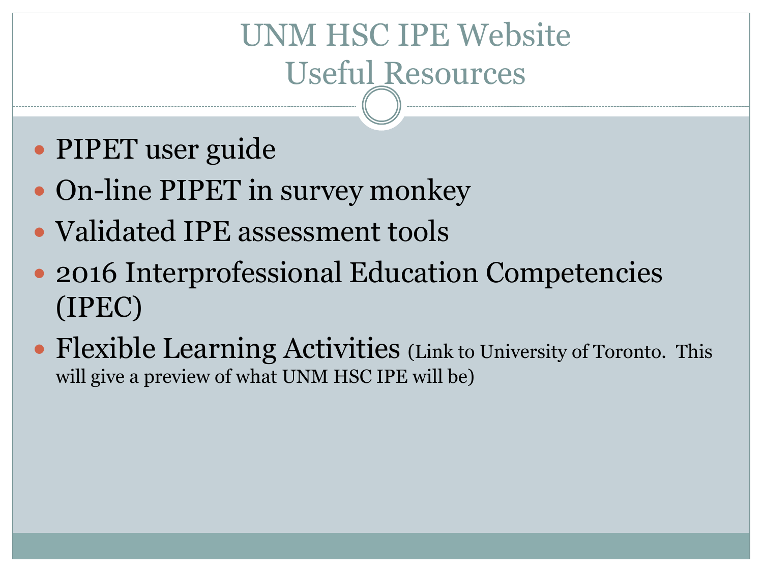### UNM HSC IPE Website Useful Resources

- PIPET user guide
- On-line PIPET in survey monkey
- Validated IPE assessment tools
- 2016 Interprofessional Education Competencies (IPEC)
- Flexible Learning Activities (Link to University of Toronto. This will give a preview of what UNM HSC IPE will be)